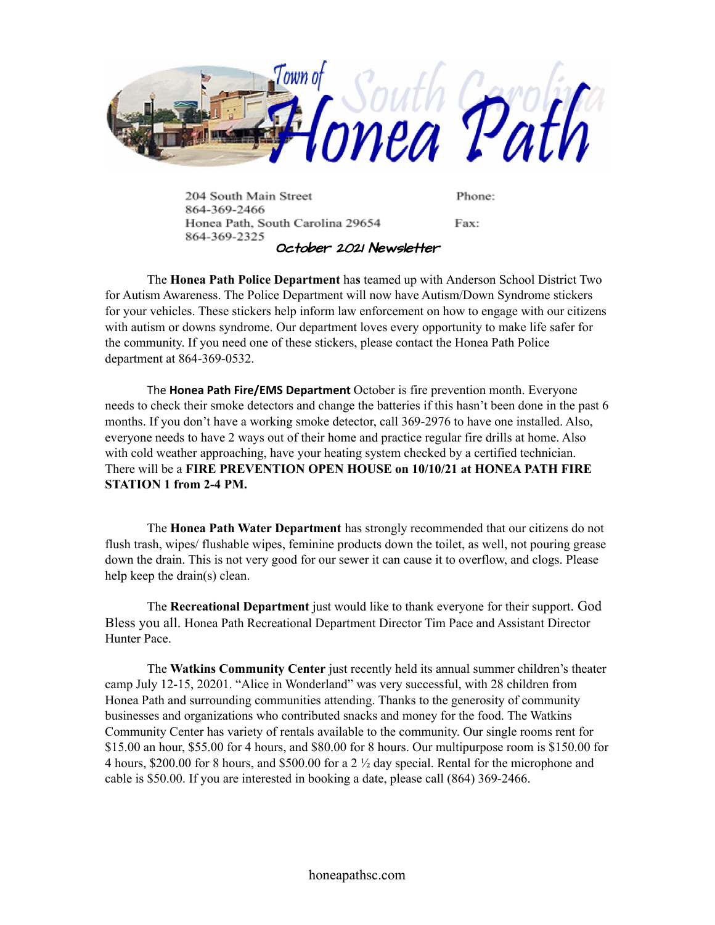

204 South Main Street Phone: 864-369-2466 Honea Path, South Carolina 29654 Fax: 864-369-2325 October 2021 Newsletter

The **Honea Path Police Department** ha**s** teamed up with Anderson School District Two for Autism Awareness. The Police Department will now have Autism/Down Syndrome stickers for your vehicles. These stickers help inform law enforcement on how to engage with our citizens with autism or downs syndrome. Our department loves every opportunity to make life safer for the community. If you need one of these stickers, please contact the Honea Path Police department at 864-369-0532.

The **Honea Path Fire/EMS Department** October is fire prevention month. Everyone needs to check their smoke detectors and change the batteries if this hasn't been done in the past 6 months. If you don't have a working smoke detector, call 369-2976 to have one installed. Also, everyone needs to have 2 ways out of their home and practice regular fire drills at home. Also with cold weather approaching, have your heating system checked by a certified technician. There will be a **FIRE PREVENTION OPEN HOUSE on 10/10/21 at HONEA PATH FIRE STATION 1 from 2-4 PM.**

The **Honea Path Water Department** has strongly recommended that our citizens do not flush trash, wipes/ flushable wipes, feminine products down the toilet, as well, not pouring grease down the drain. This is not very good for our sewer it can cause it to overflow, and clogs. Please help keep the drain(s) clean.

The **Recreational Department** just would like to thank everyone for their support. God Bless you all. Honea Path Recreational Department Director Tim Pace and Assistant Director Hunter Pace.

The **Watkins Community Center** just recently held its annual summer children's theater camp July 12-15, 20201. "Alice in Wonderland" was very successful, with 28 children from Honea Path and surrounding communities attending. Thanks to the generosity of community businesses and organizations who contributed snacks and money for the food. The Watkins Community Center has variety of rentals available to the community. Our single rooms rent for \$15.00 an hour, \$55.00 for 4 hours, and \$80.00 for 8 hours. Our multipurpose room is \$150.00 for 4 hours, \$200.00 for 8 hours, and \$500.00 for a 2 ½ day special. Rental for the microphone and cable is \$50.00. If you are interested in booking a date, please call (864) 369-2466.